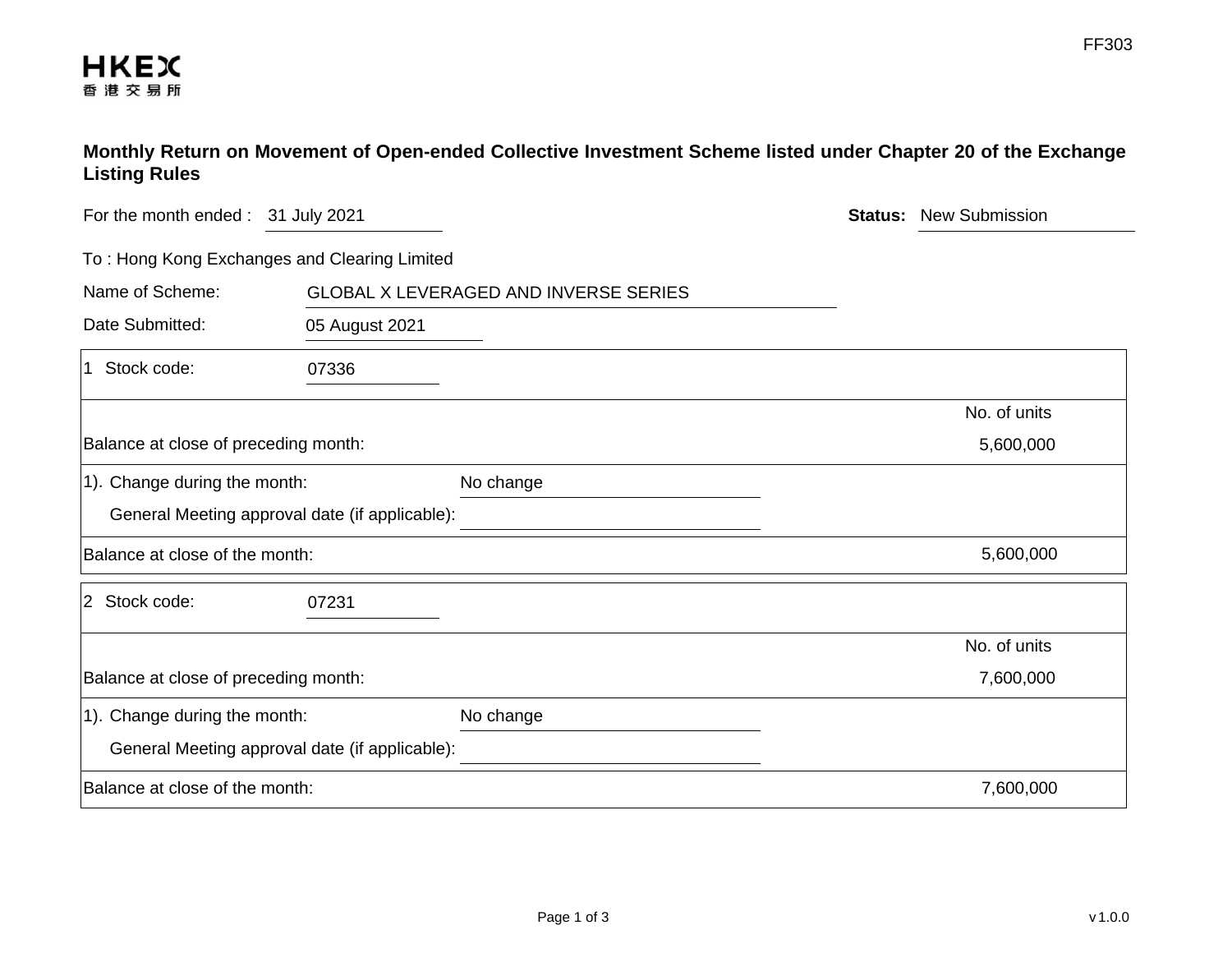## **Monthly Return on Movement of Open-ended Collective Investment Scheme listed under Chapter 20 of the Exchange Listing Rules**

| For the month ended: 31 July 2021            |                                                | <b>Status:</b> | <b>New Submission</b> |              |
|----------------------------------------------|------------------------------------------------|----------------|-----------------------|--------------|
| To: Hong Kong Exchanges and Clearing Limited |                                                |                |                       |              |
| Name of Scheme:                              | <b>GLOBAL X LEVERAGED AND INVERSE SERIES</b>   |                |                       |              |
| Date Submitted:                              | 05 August 2021                                 |                |                       |              |
| 1 Stock code:                                | 07336                                          |                |                       |              |
|                                              |                                                |                |                       | No. of units |
| Balance at close of preceding month:         |                                                |                |                       | 5,600,000    |
| 1). Change during the month:                 |                                                | No change      |                       |              |
|                                              | General Meeting approval date (if applicable): |                |                       |              |
| Balance at close of the month:               |                                                |                |                       | 5,600,000    |
| 2 Stock code:                                | 07231                                          |                |                       |              |
|                                              |                                                |                |                       | No. of units |
| Balance at close of preceding month:         |                                                |                |                       | 7,600,000    |
| 1). Change during the month:                 |                                                | No change      |                       |              |
|                                              | General Meeting approval date (if applicable): |                |                       |              |
| Balance at close of the month:               |                                                |                |                       | 7,600,000    |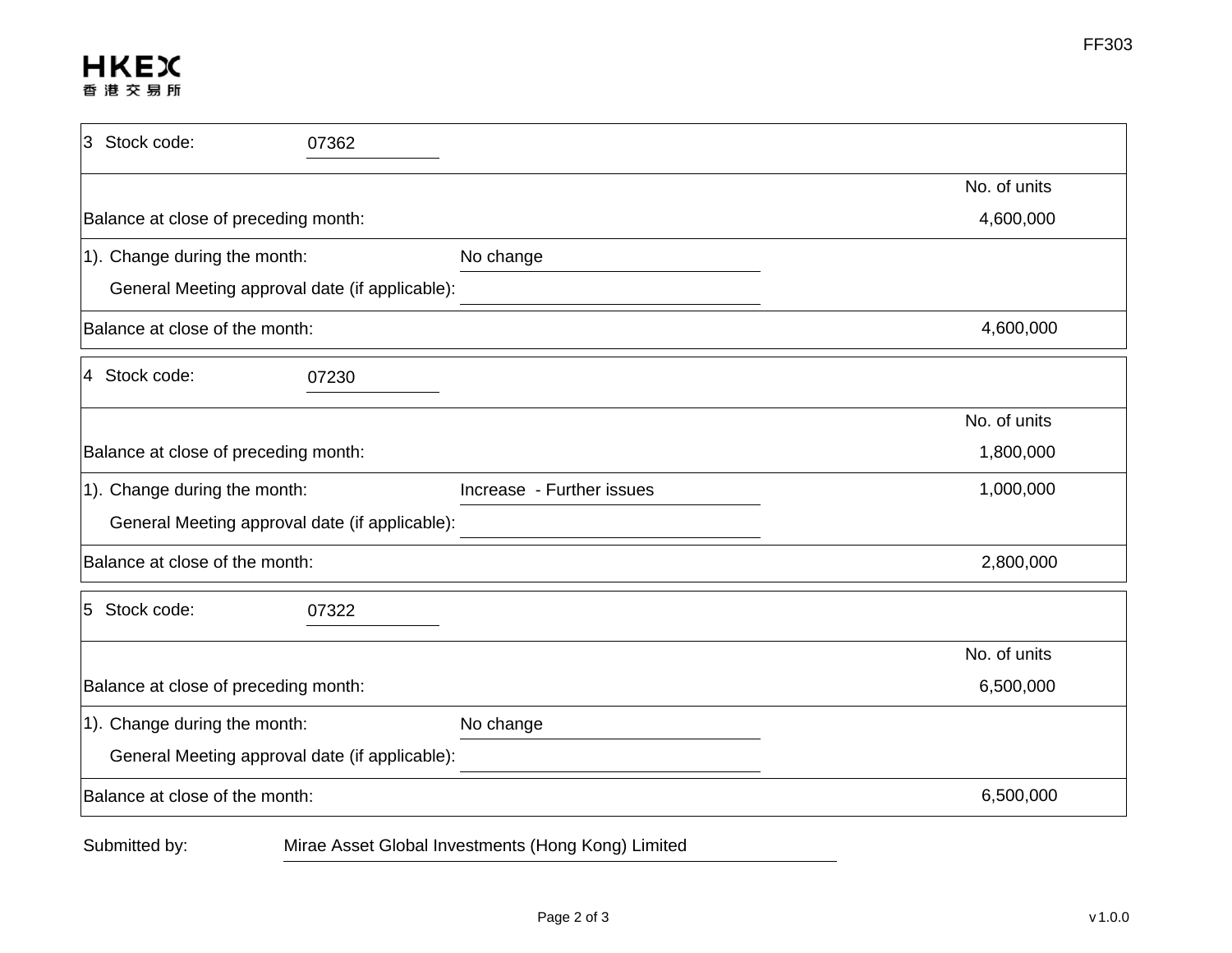## **HKEX** 香港交易所

| 3 Stock code:                                  | 07362     |                                                    |              |
|------------------------------------------------|-----------|----------------------------------------------------|--------------|
|                                                |           |                                                    | No. of units |
| Balance at close of preceding month:           | 4,600,000 |                                                    |              |
| 1). Change during the month:                   |           | No change                                          |              |
| General Meeting approval date (if applicable): |           |                                                    |              |
| Balance at close of the month:                 | 4,600,000 |                                                    |              |
| 4 Stock code:                                  | 07230     |                                                    |              |
|                                                |           |                                                    | No. of units |
| Balance at close of preceding month:           |           |                                                    | 1,800,000    |
| 1). Change during the month:                   |           | Increase - Further issues                          | 1,000,000    |
| General Meeting approval date (if applicable): |           |                                                    |              |
| Balance at close of the month:                 |           |                                                    | 2,800,000    |
| 5 Stock code:                                  | 07322     |                                                    |              |
|                                                |           |                                                    | No. of units |
| Balance at close of preceding month:           |           |                                                    | 6,500,000    |
| 1). Change during the month:                   |           | No change                                          |              |
| General Meeting approval date (if applicable): |           |                                                    |              |
| Balance at close of the month:                 |           |                                                    | 6,500,000    |
| Submitted by:                                  |           | Mirae Asset Global Investments (Hong Kong) Limited |              |